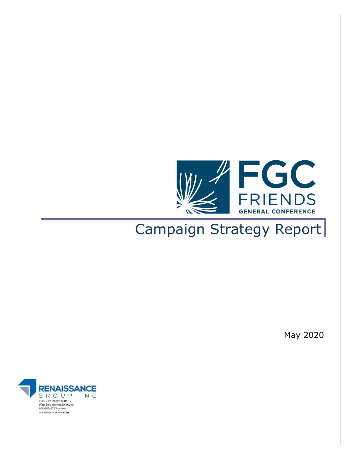

# Campaign Strategy Report

May 2020

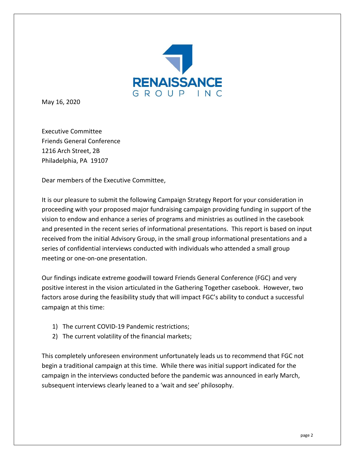

May 16, 2020

Executive Committee Friends General Conference 1216 Arch Street, 2B Philadelphia, PA 19107

Dear members of the Executive Committee,

It is our pleasure to submit the following Campaign Strategy Report for your consideration in proceeding with your proposed major fundraising campaign providing funding in support of the vision to endow and enhance a series of programs and ministries as outlined in the casebook and presented in the recent series of informational presentations. This report is based on input received from the initial Advisory Group, in the small group informational presentations and a series of confidential interviews conducted with individuals who attended a small group meeting or one-on-one presentation.

Our findings indicate extreme goodwill toward Friends General Conference (FGC) and very positive interest in the vision articulated in the Gathering Together casebook. However, two factors arose during the feasibility study that will impact FGC's ability to conduct a successful campaign at this time:

- 1) The current COVID-19 Pandemic restrictions;
- 2) The current volatility of the financial markets;

This completely unforeseen environment unfortunately leads us to recommend that FGC not begin a traditional campaign at this time. While there was initial support indicated for the campaign in the interviews conducted before the pandemic was announced in early March, subsequent interviews clearly leaned to a 'wait and see' philosophy.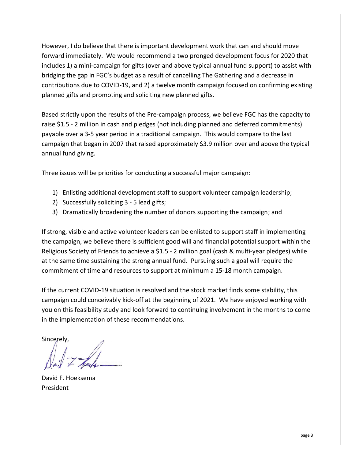However, I do believe that there is important development work that can and should move forward immediately. We would recommend a two pronged development focus for 2020 that includes 1) a mini-campaign for gifts (over and above typical annual fund support) to assist with bridging the gap in FGC's budget as a result of cancelling The Gathering and a decrease in contributions due to COVID-19, and 2) a twelve month campaign focused on confirming existing planned gifts and promoting and soliciting new planned gifts.

Based strictly upon the results of the Pre-campaign process, we believe FGC has the capacity to raise \$1.5 - 2 million in cash and pledges (not including planned and deferred commitments) payable over a 3-5 year period in a traditional campaign. This would compare to the last campaign that began in 2007 that raised approximately \$3.9 million over and above the typical annual fund giving.

Three issues will be priorities for conducting a successful major campaign:

- 1) Enlisting additional development staff to support volunteer campaign leadership;
- 2) Successfully soliciting 3 5 lead gifts;
- 3) Dramatically broadening the number of donors supporting the campaign; and

If strong, visible and active volunteer leaders can be enlisted to support staff in implementing the campaign, we believe there is sufficient good will and financial potential support within the Religious Society of Friends to achieve a \$1.5 - 2 million goal (cash & multi-year pledges) while at the same time sustaining the strong annual fund. Pursuing such a goal will require the commitment of time and resources to support at minimum a 15-18 month campaign.

If the current COVID-19 situation is resolved and the stock market finds some stability, this campaign could conceivably kick-off at the beginning of 2021. We have enjoyed working with you on this feasibility study and look forward to continuing involvement in the months to come in the implementation of these recommendations.

Sincerely,

David F. Hoeksema President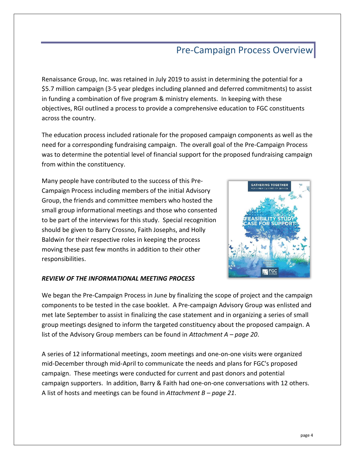## Pre-Campaign Process Overview

Renaissance Group, Inc. was retained in July 2019 to assist in determining the potential for a \$5.7 million campaign (3-5 year pledges including planned and deferred commitments) to assist in funding a combination of five program & ministry elements. In keeping with these objectives, RGI outlined a process to provide a comprehensive education to FGC constituents across the country.

The education process included rationale for the proposed campaign components as well as the need for a corresponding fundraising campaign. The overall goal of the Pre-Campaign Process was to determine the potential level of financial support for the proposed fundraising campaign from within the constituency.

Many people have contributed to the success of this Pre-Campaign Process including members of the initial Advisory Group, the friends and committee members who hosted the small group informational meetings and those who consented to be part of the interviews for this study. Special recognition should be given to Barry Crossno, Faith Josephs, and Holly Baldwin for their respective roles in keeping the process moving these past few months in addition to their other responsibilities.



### *REVIEW OF THE INFORMATIONAL MEETING PROCESS*

We began the Pre-Campaign Process in June by finalizing the scope of project and the campaign components to be tested in the case booklet. A Pre-campaign Advisory Group was enlisted and met late September to assist in finalizing the case statement and in organizing a series of small group meetings designed to inform the targeted constituency about the proposed campaign. A list of the Advisory Group members can be found in *Attachment A – page 20*.

A series of 12 informational meetings, zoom meetings and one-on-one visits were organized mid-December through mid-April to communicate the needs and plans for FGC's proposed campaign. These meetings were conducted for current and past donors and potential campaign supporters. In addition, Barry & Faith had one-on-one conversations with 12 others. A list of hosts and meetings can be found in *Attachment B – page 21*.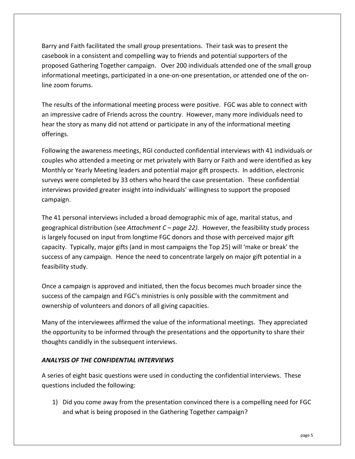Barry and Faith facilitated the small group presentations. Their task was to present the casebook in a consistent and compelling way to friends and potential supporters of the proposed Gathering Together campaign. Over 200 individuals attended one of the small group informational meetings, participated in a one-on-one presentation, or attended one of the online zoom forums.

The results of the informational meeting process were positive. FGC was able to connect with an impressive cadre of Friends across the country. However, many more individuals need to hear the story as many did not attend or participate in any of the informational meeting offerings.

Following the awareness meetings, RGI conducted confidential interviews with 41 individuals or couples who attended a meeting or met privately with Barry or Faith and were identified as key Monthly or Yearly Meeting leaders and potential major gift prospects. In addition, electronic surveys were completed by 33 others who heard the case presentation. These confidential interviews provided greater insight into individuals' willingness to support the proposed campaign.

The 41 personal interviews included a broad demographic mix of age, marital status, and geographical distribution (see *Attachment C – page 22)*. However, the feasibility study process is largely focused on input from longtime FGC donors and those with perceived major gift capacity. Typically, major gifts (and in most campaigns the Top 25) will 'make or break' the success of any campaign. Hence the need to concentrate largely on major gift potential in a feasibility study.

Once a campaign is approved and initiated, then the focus becomes much broader since the success of the campaign and FGC's ministries is only possible with the commitment and ownership of volunteers and donors of all giving capacities.

Many of the interviewees affirmed the value of the informational meetings. They appreciated the opportunity to be informed through the presentations and the opportunity to share their thoughts candidly in the subsequent interviews.

### *ANALYSIS OF THE CONFIDENTIAL INTERVIEWS*

A series of eight basic questions were used in conducting the confidential interviews. These questions included the following:

1) Did you come away from the presentation convinced there is a compelling need for FGC and what is being proposed in the Gathering Together campaign?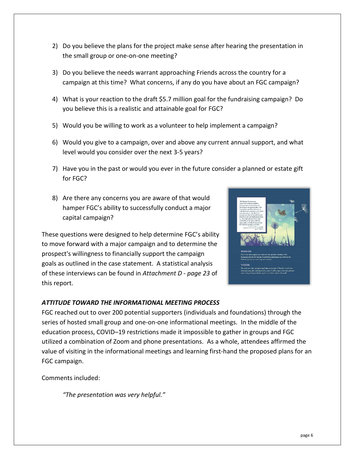- 2) Do you believe the plans for the project make sense after hearing the presentation in the small group or one-on-one meeting?
- 3) Do you believe the needs warrant approaching Friends across the country for a campaign at this time? What concerns, if any do you have about an FGC campaign?
- 4) What is your reaction to the draft \$5.7 million goal for the fundraising campaign? Do you believe this is a realistic and attainable goal for FGC?
- 5) Would you be willing to work as a volunteer to help implement a campaign?
- 6) Would you give to a campaign, over and above any current annual support, and what level would you consider over the next 3-5 years?
- 7) Have you in the past or would you ever in the future consider a planned or estate gift for FGC?
- 8) Are there any concerns you are aware of that would hamper FGC's ability to successfully conduct a major capital campaign?

These questions were designed to help determine FGC's ability to move forward with a major campaign and to determine the prospect's willingness to financially support the campaign goals as outlined in the case statement. A statistical analysis of these interviews can be found in *Attachment D - page 23* of this report.



### *ATTITUDE TOWARD THE INFORMATIONAL MEETING PROCESS*

FGC reached out to over 200 potential supporters (individuals and foundations) through the series of hosted small group and one-on-one informational meetings. In the middle of the education process, COVID–19 restrictions made it impossible to gather in groups and FGC utilized a combination of Zoom and phone presentations. As a whole, attendees affirmed the value of visiting in the informational meetings and learning first-hand the proposed plans for an FGC campaign.

Comments included:

*"The presentation was very helpful."*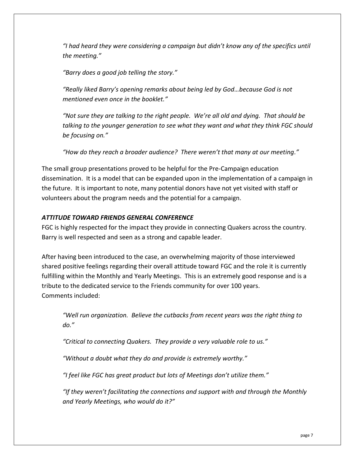*"I had heard they were considering a campaign but didn't know any of the specifics until the meeting."*

*"Barry does a good job telling the story."*

*"Really liked Barry's opening remarks about being led by God…because God is not mentioned even once in the booklet."*

*"Not sure they are talking to the right people. We're all old and dying. That should be talking to the younger generation to see what they want and what they think FGC should be focusing on."*

*"How do they reach a broader audience? There weren't that many at our meeting."*

The small group presentations proved to be helpful for the Pre-Campaign education dissemination. It is a model that can be expanded upon in the implementation of a campaign in the future. It is important to note, many potential donors have not yet visited with staff or volunteers about the program needs and the potential for a campaign.

### *ATTITUDE TOWARD FRIENDS GENERAL CONFERENCE*

FGC is highly respected for the impact they provide in connecting Quakers across the country. Barry is well respected and seen as a strong and capable leader.

After having been introduced to the case, an overwhelming majority of those interviewed shared positive feelings regarding their overall attitude toward FGC and the role it is currently fulfilling within the Monthly and Yearly Meetings. This is an extremely good response and is a tribute to the dedicated service to the Friends community for over 100 years. Comments included:

*"Well run organization. Believe the cutbacks from recent years was the right thing to do."*

*"Critical to connecting Quakers. They provide a very valuable role to us."*

*"Without a doubt what they do and provide is extremely worthy."*

*"I feel like FGC has great product but lots of Meetings don't utilize them."*

*"If they weren't facilitating the connections and support with and through the Monthly and Yearly Meetings, who would do it?"*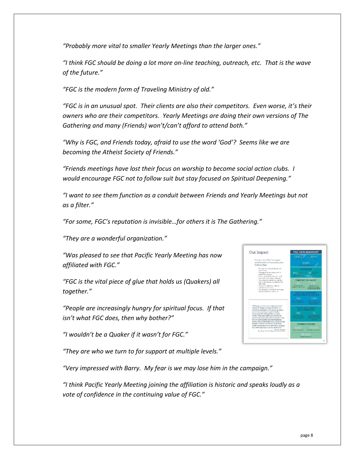*"Probably more vital to smaller Yearly Meetings than the larger ones."*

*"I think FGC should be doing a lot more on-line teaching, outreach, etc. That is the wave of the future."*

*"FGC is the modern form of Traveling Ministry of old."*

*"FGC is in an unusual spot. Their clients are also their competitors. Even worse, it's their owners who are their competitors. Yearly Meetings are doing their own versions of The Gathering and many (Friends) won't/can't afford to attend both."*

*"Why is FGC, and Friends today, afraid to use the word 'God'? Seems like we are becoming the Atheist Society of Friends."*

*"Friends meetings have lost their focus on worship to become social action clubs. I would encourage FGC not to follow suit but stay focused on Spiritual Deepening."*

*"I want to see them function as a conduit between Friends and Yearly Meetings but not as a filter."*

*"For some, FGC's reputation is invisible…for others it is The Gathering."*

*"They are a wonderful organization."*

*"Was pleased to see that Pacific Yearly Meeting has now affiliated with FGC."*

*"FGC is the vital piece of glue that holds us (Quakers) all together."*

*"People are increasingly hungry for spiritual focus. If that isn't what FGC does, then why bother?"*

*"I wouldn't be a Quaker if it wasn't for FGC."*

*"They are who we turn to for support at multiple levels."*

Our Impact

*"Very impressed with Barry. My fear is we may lose him in the campaign."*

*"I think Pacific Yearly Meeting joining the affiliation is historic and speaks loudly as a vote of confidence in the continuing value of FGC."*

**GC 2019 SNAPSHO**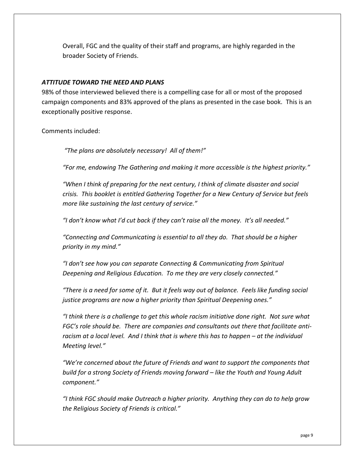Overall, FGC and the quality of their staff and programs, are highly regarded in the broader Society of Friends.

### *ATTITUDE TOWARD THE NEED AND PLANS*

98% of those interviewed believed there is a compelling case for all or most of the proposed campaign components and 83% approved of the plans as presented in the case book. This is an exceptionally positive response.

Comments included:

*"The plans are absolutely necessary! All of them!"*

*"For me, endowing The Gathering and making it more accessible is the highest priority."*

*"When I think of preparing for the next century, I think of climate disaster and social crisis. This booklet is entitled Gathering Together for a New Century of Service but feels more like sustaining the last century of service."*

*"I don't know what I'd cut back if they can't raise all the money. It's all needed."*

*"Connecting and Communicating is essential to all they do. That should be a higher priority in my mind."*

*"I don't see how you can separate Connecting & Communicating from Spiritual Deepening and Religious Education. To me they are very closely connected."*

*"There is a need for some of it. But it feels way out of balance. Feels like funding social justice programs are now a higher priority than Spiritual Deepening ones."*

*"I think there is a challenge to get this whole racism initiative done right. Not sure what*  FGC's role should be. There are companies and consultants out there that facilitate anti*racism at a local level. And I think that is where this has to happen – at the individual Meeting level."*

*"We're concerned about the future of Friends and want to support the components that build for a strong Society of Friends moving forward – like the Youth and Young Adult component."*

*"I think FGC should make Outreach a higher priority. Anything they can do to help grow the Religious Society of Friends is critical."*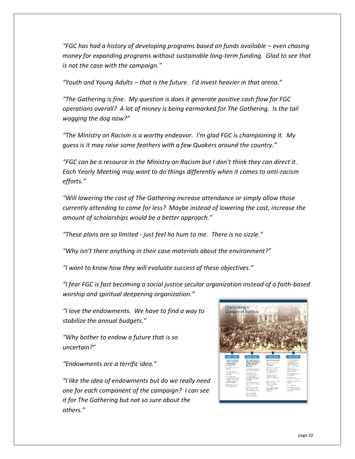*"FGC has had a history of developing programs based on funds available – even chasing money for expanding programs without sustainable long-term funding. Glad to see that is not the case with the campaign."*

*"Youth and Young Adults – that is the future. I'd invest heavier in that arena."*

*"The Gathering is fine. My question is does it generate positive cash flow for FGC operations overall? A lot of money is being earmarked for The Gathering. Is the tail wagging the dog now?"*

*"The Ministry on Racism is a worthy endeavor. I'm glad FGC is championing it. My guess is it may raise some feathers with a few Quakers around the country."*

*"FGC can be a resource in the Ministry on Racism but I don't think they can direct it. Each Yearly Meeting may want to do things differently when it comes to anti-racism efforts."*

*"Will lowering the cost of The Gathering increase attendance or simply allow those currently attending to come for less? Maybe instead of lowering the cost, increase the amount of scholarships would be a better approach."*

*"These plans are so limited - just feel ho hum to me. There is no sizzle."*

*"Why isn't there anything in their case materials about the environment?"*

*"I want to know how they will evaluate success of these objectives."*

*"I fear FGC is fast becoming a social justice secular organization instead of a faith-based worship and spiritual deepening organization."*

*"I love the endowments. We have to find a way to stabilize the annual budgets."*

*"Why bother to endow a future that is so uncertain?"*

*"Endowments are a terrific idea."*

*"I like the idea of endowments but do we really need one for each component of the campaign? I can see it for The Gathering but not so sure about the others."*

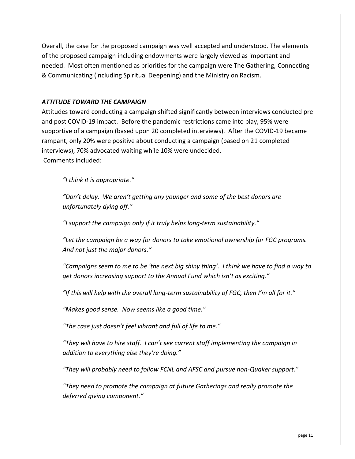Overall, the case for the proposed campaign was well accepted and understood. The elements of the proposed campaign including endowments were largely viewed as important and needed. Most often mentioned as priorities for the campaign were The Gathering, Connecting & Communicating (including Spiritual Deepening) and the Ministry on Racism.

### *ATTITUDE TOWARD THE CAMPAIGN*

Attitudes toward conducting a campaign shifted significantly between interviews conducted pre and post COVID-19 impact. Before the pandemic restrictions came into play, 95% were supportive of a campaign (based upon 20 completed interviews). After the COVID-19 became rampant, only 20% were positive about conducting a campaign (based on 21 completed interviews), 70% advocated waiting while 10% were undecided. Comments included:

*"I think it is appropriate."*

*"Don't delay. We aren't getting any younger and some of the best donors are unfortunately dying off."*

*"I support the campaign only if it truly helps long-term sustainability."*

*"Let the campaign be a way for donors to take emotional ownership for FGC programs. And not just the major donors."*

*"Campaigns seem to me to be 'the next big shiny thing'. I think we have to find a way to get donors increasing support to the Annual Fund which isn't as exciting."*

*"If this will help with the overall long-term sustainability of FGC, then I'm all for it."*

*"Makes good sense. Now seems like a good time."*

*"The case just doesn't feel vibrant and full of life to me."*

*"They will have to hire staff. I can't see current staff implementing the campaign in addition to everything else they're doing."*

*"They will probably need to follow FCNL and AFSC and pursue non-Quaker support."*

*"They need to promote the campaign at future Gatherings and really promote the deferred giving component."*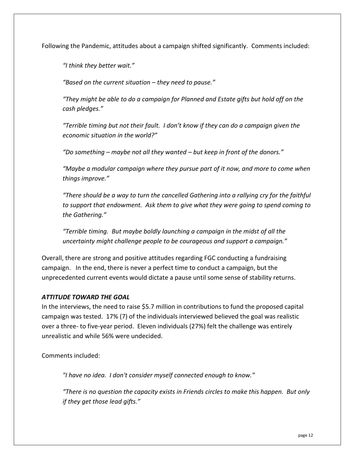Following the Pandemic, attitudes about a campaign shifted significantly. Comments included:

*"I think they better wait."*

*"Based on the current situation – they need to pause."*

*"They might be able to do a campaign for Planned and Estate gifts but hold off on the cash pledges."*

*"Terrible timing but not their fault. I don't know if they can do a campaign given the economic situation in the world?"*

*"Do something – maybe not all they wanted – but keep in front of the donors."*

*"Maybe a modular campaign where they pursue part of it now, and more to come when things improve."*

*"There should be a way to turn the cancelled Gathering into a rallying cry for the faithful to support that endowment. Ask them to give what they were going to spend coming to the Gathering."*

*"Terrible timing. But maybe boldly launching a campaign in the midst of all the uncertainty might challenge people to be courageous and support a campaign."*

Overall, there are strong and positive attitudes regarding FGC conducting a fundraising campaign. In the end, there is never a perfect time to conduct a campaign, but the unprecedented current events would dictate a pause until some sense of stability returns.

### *ATTITUDE TOWARD THE GOAL*

In the interviews, the need to raise \$5.7 million in contributions to fund the proposed capital campaign was tested. 17% (7) of the individuals interviewed believed the goal was realistic over a three- to five-year period. Eleven individuals (27%) felt the challenge was entirely unrealistic and while 56% were undecided.

Comments included:

*"I have no idea. I don't consider myself connected enough to know."*

*"There is no question the capacity exists in Friends circles to make this happen. But only if they get those lead gifts."*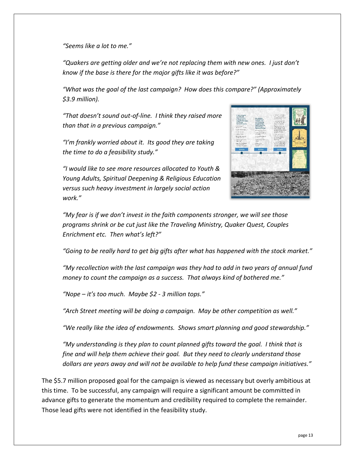*"Seems like a lot to me."*

*"Quakers are getting older and we're not replacing them with new ones. I just don't know if the base is there for the major gifts like it was before?"*

*"What was the goal of the last campaign? How does this compare?" (Approximately \$3.9 million).*

*"That doesn't sound out-of-line. I think they raised more than that in a previous campaign."*

*"I'm frankly worried about it. Its good they are taking the time to do a feasibility study."*

*"I would like to see more resources allocated to Youth & Young Adults, Spiritual Deepening & Religious Education versus such heavy investment in largely social action work."*



*"My fear is if we don't invest in the faith components stronger, we will see those programs shrink or be cut just like the Traveling Ministry, Quaker Quest, Couples Enrichment etc. Then what's left?"*

*"Going to be really hard to get big gifts after what has happened with the stock market."*

*"My recollection with the last campaign was they had to add in two years of annual fund money to count the campaign as a success. That always kind of bothered me."*

*"Nope – it's too much. Maybe \$2 - 3 million tops."*

*"Arch Street meeting will be doing a campaign. May be other competition as well."*

*"We really like the idea of endowments. Shows smart planning and good stewardship."*

*"My understanding is they plan to count planned gifts toward the goal. I think that is fine and will help them achieve their goal. But they need to clearly understand those dollars are years away and will not be available to help fund these campaign initiatives."*

The \$5.7 million proposed goal for the campaign is viewed as necessary but overly ambitious at this time. To be successful, any campaign will require a significant amount be committed in advance gifts to generate the momentum and credibility required to complete the remainder. Those lead gifts were not identified in the feasibility study.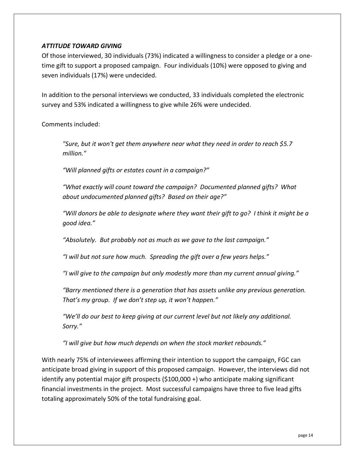### *ATTITUDE TOWARD GIVING*

Of those interviewed, 30 individuals (73%) indicated a willingness to consider a pledge or a onetime gift to support a proposed campaign. Four individuals (10%) were opposed to giving and seven individuals (17%) were undecided.

In addition to the personal interviews we conducted, 33 individuals completed the electronic survey and 53% indicated a willingness to give while 26% were undecided.

Comments included:

*"Sure, but it won't get them anywhere near what they need in order to reach \$5.7 million."*

*"Will planned gifts or estates count in a campaign?"*

*"What exactly will count toward the campaign? Documented planned gifts? What about undocumented planned gifts? Based on their age?"*

*"Will donors be able to designate where they want their gift to go? I think it might be a good idea."*

*"Absolutely. But probably not as much as we gave to the last campaign."*

*"I will but not sure how much. Spreading the gift over a few years helps."*

*"I will give to the campaign but only modestly more than my current annual giving."*

*"Barry mentioned there is a generation that has assets unlike any previous generation. That's my group. If we don't step up, it won't happen."*

*"We'll do our best to keep giving at our current level but not likely any additional. Sorry."*

*"I will give but how much depends on when the stock market rebounds."*

With nearly 75% of interviewees affirming their intention to support the campaign, FGC can anticipate broad giving in support of this proposed campaign. However, the interviews did not identify any potential major gift prospects (\$100,000 +) who anticipate making significant financial investments in the project. Most successful campaigns have three to five lead gifts totaling approximately 50% of the total fundraising goal.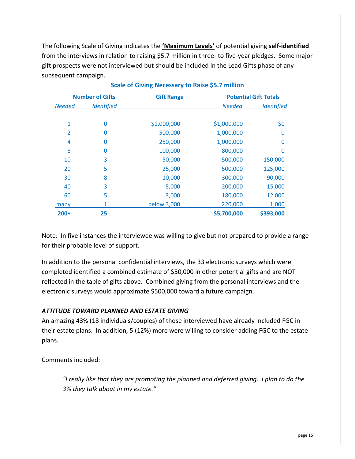The following Scale of Giving indicates the **'Maximum Levels'** of potential giving **self-identified** from the interviews in relation to raising \$5.7 million in three- to five-year pledges. Some major gift prospects were not interviewed but should be included in the Lead Gifts phase of any subsequent campaign.

| <b>Number of Gifts</b> |                   | <b>Gift Range</b> |               | <b>Potential Gift Totals</b> |  |  |
|------------------------|-------------------|-------------------|---------------|------------------------------|--|--|
| <b>Needed</b>          | <b>Identified</b> |                   | <b>Needed</b> | <b>Identified</b>            |  |  |
|                        |                   |                   |               |                              |  |  |
| 1                      | 0                 | \$1,000,000       | \$1,000,000   | \$0                          |  |  |
| 2                      | 0                 | 500,000           | 1,000,000     | 0                            |  |  |
| 4                      | 0                 | 250,000           | 1,000,000     | 0                            |  |  |
| 8                      | 0                 | 100,000           | 800,000       | 0                            |  |  |
| 10                     | 3                 | 50,000            | 500,000       | 150,000                      |  |  |
| 20                     | 5                 | 25,000            | 500,000       | 125,000                      |  |  |
| 30                     | 8                 | 10,000            | 300,000       | 90,000                       |  |  |
| 40                     | 3                 | 5,000             | 200,000       | 15,000                       |  |  |
| 60                     | 5                 | 3,000             | 180,000       | 12,000                       |  |  |
| many                   | 1                 | below 3,000       | 220,000       | 1,000                        |  |  |
| $200+$                 | 25                |                   | \$5,700,000   | \$393,000                    |  |  |

### **Scale of Giving Necessary to Raise \$5.7 million**

Note: In five instances the interviewee was willing to give but not prepared to provide a range for their probable level of support.

In addition to the personal confidential interviews, the 33 electronic surveys which were completed identified a combined estimate of \$50,000 in other potential gifts and are NOT reflected in the table of gifts above. Combined giving from the personal interviews and the electronic surveys would approximate \$500,000 toward a future campaign.

### *ATTITUDE TOWARD PLANNED AND ESTATE GIVING*

An amazing 43% (18 individuals/couples) of those interviewed have already included FGC in their estate plans. In addition, 5 (12%) more were willing to consider adding FGC to the estate plans.

Comments included:

*"I really like that they are promoting the planned and deferred giving. I plan to do the 3% they talk about in my estate."*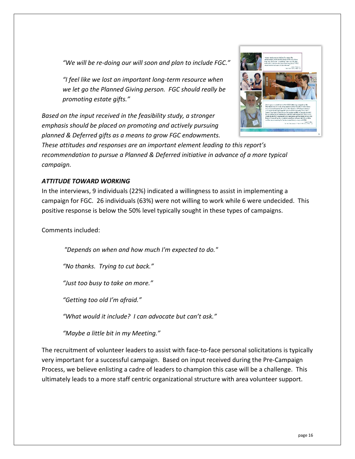*"We will be re-doing our will soon and plan to include FGC."*

*"I feel like we lost an important long-term resource when we let go the Planned Giving person. FGC should really be promoting estate gifts."*

*Based on the input received in the feasibility study, a stronger emphasis should be placed on promoting and actively pursuing planned & Deferred gifts as a means to grow FGC endowments.* 



*These attitudes and responses are an important element leading to this report's recommendation to pursue a Planned & Deferred initiative in advance of a more typical campaign.*

### *ATTITUDE TOWARD WORKING*

In the interviews, 9 individuals (22%) indicated a willingness to assist in implementing a campaign for FGC. 26 individuals (63%) were not willing to work while 6 were undecided. This positive response is below the 50% level typically sought in these types of campaigns.

Comments included:

*"Depends on when and how much I'm expected to do."*

*"No thanks. Trying to cut back."*

*"Just too busy to take on more."*

*"Getting too old I'm afraid."*

*"What would it include? I can advocate but can't ask."*

*"Maybe a little bit in my Meeting."*

The recruitment of volunteer leaders to assist with face-to-face personal solicitations is typically very important for a successful campaign. Based on input received during the Pre-Campaign Process, we believe enlisting a cadre of leaders to champion this case will be a challenge. This ultimately leads to a more staff centric organizational structure with area volunteer support.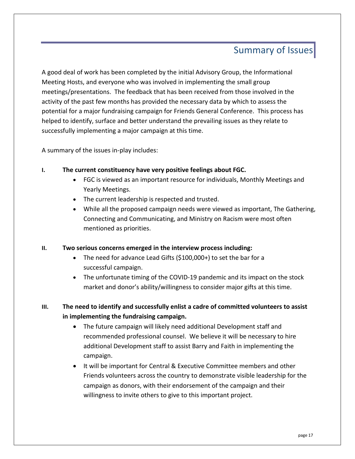## Summary of Issues

A good deal of work has been completed by the initial Advisory Group, the Informational Meeting Hosts, and everyone who was involved in implementing the small group meetings/presentations. The feedback that has been received from those involved in the activity of the past few months has provided the necessary data by which to assess the potential for a major fundraising campaign for Friends General Conference. This process has helped to identify, surface and better understand the prevailing issues as they relate to successfully implementing a major campaign at this time.

A summary of the issues in-play includes:

### **I. The current constituency have very positive feelings about FGC.**

- FGC is viewed as an important resource for individuals, Monthly Meetings and Yearly Meetings.
- The current leadership is respected and trusted.
- While all the proposed campaign needs were viewed as important, The Gathering, Connecting and Communicating, and Ministry on Racism were most often mentioned as priorities.

### **II. Two serious concerns emerged in the interview process including:**

- The need for advance Lead Gifts (\$100,000+) to set the bar for a successful campaign.
- The unfortunate timing of the COVID-19 pandemic and its impact on the stock market and donor's ability/willingness to consider major gifts at this time.
- **III. The need to identify and successfully enlist a cadre of committed volunteers to assist in implementing the fundraising campaign.**
	- The future campaign will likely need additional Development staff and recommended professional counsel. We believe it will be necessary to hire additional Development staff to assist Barry and Faith in implementing the campaign.
	- It will be important for Central & Executive Committee members and other Friends volunteers across the country to demonstrate visible leadership for the campaign as donors, with their endorsement of the campaign and their willingness to invite others to give to this important project.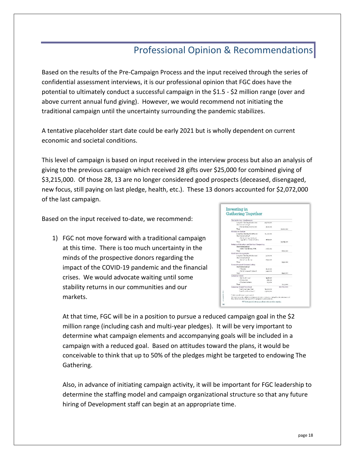# Professional Opinion & Recommendations

Based on the results of the Pre-Campaign Process and the input received through the series of confidential assessment interviews, it is our professional opinion that FGC does have the potential to ultimately conduct a successful campaign in the \$1.5 - \$2 million range (over and above current annual fund giving). However, we would recommend not initiating the traditional campaign until the uncertainty surrounding the pandemic stabilizes.

A tentative placeholder start date could be early 2021 but is wholly dependent on current economic and societal conditions.

This level of campaign is based on input received in the interview process but also an analysis of giving to the previous campaign which received 28 gifts over \$25,000 for combined giving of \$3,215,000. Of those 28, 13 are no longer considered good prospects (deceased, disengaged, new focus, still paying on last pledge, health, etc.). These 13 donors accounted for \$2,072,000 of the last campaign.

Based on the input received to-date, we recommend:

1) FGC not move forward with a traditional campaign at this time. There is too much uncertainty in the minds of the prospective donors regarding the impact of the COVID-19 pandemic and the financial crises. We would advocate waiting until some stability returns in our communities and our markets.

| Gathering Together                                                                                |                                                              |             |
|---------------------------------------------------------------------------------------------------|--------------------------------------------------------------|-------------|
| The Gathering - Conferences                                                                       |                                                              |             |
| Long term for ding Endowment<br>Short term funding?                                               | \$9,000,000                                                  |             |
| - Remared modernation from<br>Treat                                                               | 100300                                                       | 02.100.000  |
| <b>Hisistry on Racism</b>                                                                         |                                                              |             |
| Lopa-terra Pandina: Endowmant<br>Short-term funding"                                              | \$1000,000                                                   |             |
| - Sta I, training, travel, and<br>«appoint for Warnis of Calor.                                   | \$155,000                                                    |             |
| Terest                                                                                            |                                                              | \$1,375,000 |
| Religious Education and Spiritual Despening                                                       |                                                              |             |
| Sheet-term funding"                                                                               |                                                              |             |
| - Stoff, Consultation, Web                                                                        | 8460.000                                                     |             |
| Treat                                                                                             |                                                              | \$460,000   |
| <b>Youth and Young Adults</b>                                                                     |                                                              |             |
| Lang-term funding-Endowment<br>Short term funding?                                                | anoczne                                                      |             |
| - Ste Libre dutien                                                                                | 3900-000                                                     |             |
| Tread                                                                                             |                                                              | \$750,000   |
| Connecting and Communicating                                                                      |                                                              |             |
| Short-term tunding"                                                                               |                                                              |             |
| - Wardto                                                                                          | \$100,000                                                    |             |
| - Staff, Incomed Cutmerle<br>The of-                                                              | sauce etne                                                   |             |
|                                                                                                   |                                                              | \$540,000   |
| Campalon Costs                                                                                    |                                                              |             |
| - Staffwrall bowl                                                                                 | \$456,000                                                    |             |
| $-$ Consultat                                                                                     | \$35,000                                                     |             |
| - Cremotet scripps<br>Teral.                                                                      | \$14,000                                                     |             |
|                                                                                                   |                                                              | Sycapoc     |
| Campaign Grand Total Goal                                                                         |                                                              | \$5,700,000 |
| Texal Local Term Need                                                                             | <b>Eugoczion</b>                                             |             |
| Total Short-Term Need?                                                                            | 35,800,000                                                   |             |
| "Cabo coa nã deter de um cinete di                                                                |                                                              |             |
| FOC outstriving \$45 million in car form an inclusions in their way outside to be on keeps as and | does from he poeten behauteert POC's propour haardscendiens. |             |

At that time, FGC will be in a position to pursue a reduced campaign goal in the \$2 million range (including cash and multi-year pledges). It will be very important to determine what campaign elements and accompanying goals will be included in a campaign with a reduced goal. Based on attitudes toward the plans, it would be conceivable to think that up to 50% of the pledges might be targeted to endowing The Gathering.

Also, in advance of initiating campaign activity, it will be important for FGC leadership to determine the staffing model and campaign organizational structure so that any future hiring of Development staff can begin at an appropriate time.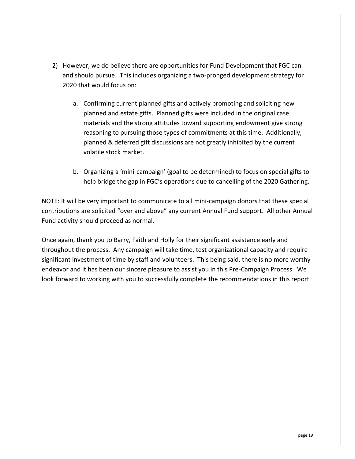- 2) However, we do believe there are opportunities for Fund Development that FGC can and should pursue. This includes organizing a two-pronged development strategy for 2020 that would focus on:
	- a. Confirming current planned gifts and actively promoting and soliciting new planned and estate gifts. Planned gifts were included in the original case materials and the strong attitudes toward supporting endowment give strong reasoning to pursuing those types of commitments at this time. Additionally, planned & deferred gift discussions are not greatly inhibited by the current volatile stock market.
	- b. Organizing a 'mini-campaign' (goal to be determined) to focus on special gifts to help bridge the gap in FGC's operations due to cancelling of the 2020 Gathering.

NOTE: It will be very important to communicate to all mini-campaign donors that these special contributions are solicited "over and above" any current Annual Fund support. All other Annual Fund activity should proceed as normal.

Once again, thank you to Barry, Faith and Holly for their significant assistance early and throughout the process. Any campaign will take time, test organizational capacity and require significant investment of time by staff and volunteers. This being said, there is no more worthy endeavor and it has been our sincere pleasure to assist you in this Pre-Campaign Process. We look forward to working with you to successfully complete the recommendations in this report.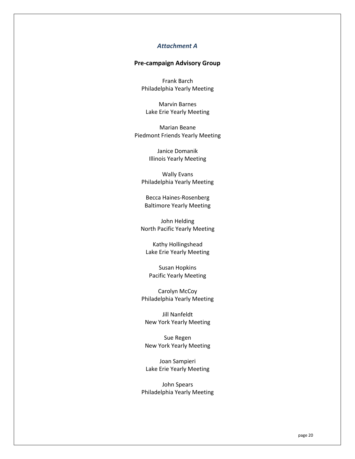### *Attachment A*

### **Pre-campaign Advisory Group**

Frank Barch Philadelphia Yearly Meeting

Marvin Barnes Lake Erie Yearly Meeting

Marian Beane Piedmont Friends Yearly Meeting

> Janice Domanik Illinois Yearly Meeting

Wally Evans Philadelphia Yearly Meeting

Becca Haines-Rosenberg Baltimore Yearly Meeting

John Helding North Pacific Yearly Meeting

Kathy Hollingshead Lake Erie Yearly Meeting

Susan Hopkins Pacific Yearly Meeting

Carolyn McCoy Philadelphia Yearly Meeting

Jill Nanfeldt New York Yearly Meeting

Sue Regen New York Yearly Meeting

Joan Sampieri Lake Erie Yearly Meeting

John Spears Philadelphia Yearly Meeting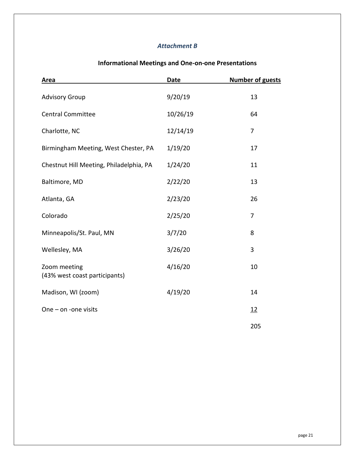### *Attachment B*

# **Area Date Number of guests** Advisory Group 13 Central Committee 10/26/19 64 Charlotte, NC 12/14/19 7 Birmingham Meeting, West Chester, PA 1/19/20 17 Chestnut Hill Meeting, Philadelphia, PA 1/24/20 11 Baltimore, MD 2/22/20 13 Atlanta, GA 2/23/20 26 Colorado 2/25/20 7 Minneapolis/St. Paul, MN 3/7/20 8 Wellesley, MA 3/26/20 3 Zoom meeting 10 and 10 and 10 and 10 and 10 and 10 and 10 and 10 and 10 and 10 and 10 and 10 and 10 and 10 and 10 and 10 and 10 and 10 and 10 and 10 and 10 and 10 and 10 and 10 and 10 and 10 and 10 and 10 and 10 and 10 and (43% west coast participants) Madison, WI (zoom)  $4/19/20$  14 One – on -one visits  $\frac{12}{12}$ 205

### **Informational Meetings and One-on-one Presentations**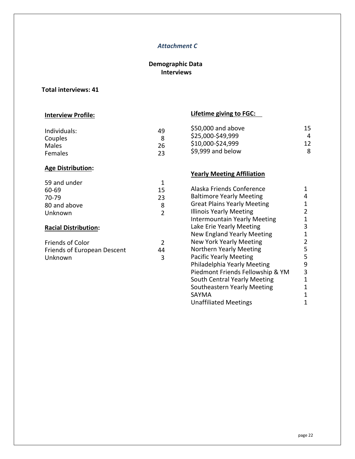### *Attachment C*

### **Demographic Data Interviews**

### **Total interviews: 41**

### **Interview Profile:**

| Individuals: | 49 |
|--------------|----|
| Couples      | 8  |
| Males        | 26 |
| Females      | 23 |
|              |    |

### **Age Distribution:**

| 59 and under |    |
|--------------|----|
| 60-69        | 15 |
| 70-79        | 23 |
| 80 and above | 8  |
| Unknown      |    |

### **Racial Distribution:**

| <b>Friends of Color</b>            |    |
|------------------------------------|----|
| <b>Friends of European Descent</b> | 44 |
| Unknown                            |    |

## **Lifetime giving to FGC:**

| 15 |
|----|
| 4  |
| 12 |
| 8  |
|    |

### **Yearly Meeting Affiliation**

| Alaska Friends Conference           |   |
|-------------------------------------|---|
| <b>Baltimore Yearly Meeting</b>     | 4 |
| <b>Great Plains Yearly Meeting</b>  | 1 |
| <b>Illinois Yearly Meeting</b>      | 2 |
| <b>Intermountain Yearly Meeting</b> | 1 |
| Lake Erie Yearly Meeting            | 3 |
| <b>New England Yearly Meeting</b>   | 1 |
| <b>New York Yearly Meeting</b>      | 2 |
| Northern Yearly Meeting             | 5 |
| <b>Pacific Yearly Meeting</b>       | 5 |
| Philadelphia Yearly Meeting         | 9 |
| Piedmont Friends Fellowship & YM    | 3 |
| South Central Yearly Meeting        | 1 |
| Southeastern Yearly Meeting         | 1 |
| SAYMA                               | 1 |
| <b>Unaffiliated Meetings</b>        |   |
|                                     |   |